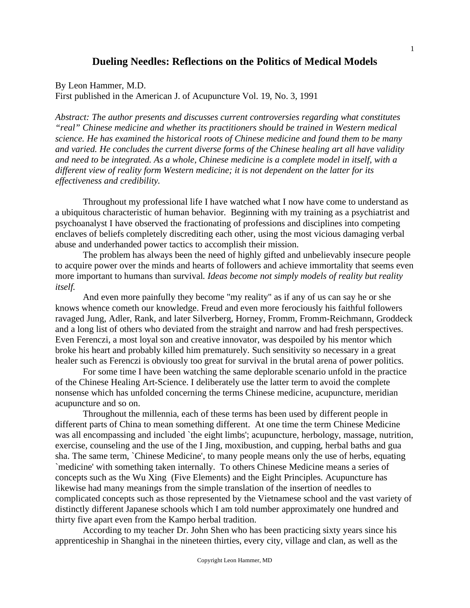## **Dueling Needles: Reflections on the Politics of Medical Models**

By Leon Hammer, M.D.

First published in the American J. of Acupuncture Vol. 19, No. 3, 1991

*Abstract: The author presents and discusses current controversies regarding what constitutes "real" Chinese medicine and whether its practitioners should be trained in Western medical science. He has examined the historical roots of Chinese medicine and found them to be many and varied. He concludes the current diverse forms of the Chinese healing art all have validity and need to be integrated. As a whole, Chinese medicine is a complete model in itself, with a different view of reality form Western medicine; it is not dependent on the latter for its effectiveness and credibility.* 

 Throughout my professional life I have watched what I now have come to understand as a ubiquitous characteristic of human behavior. Beginning with my training as a psychiatrist and psychoanalyst I have observed the fractionating of professions and disciplines into competing enclaves of beliefs completely discrediting each other, using the most vicious damaging verbal abuse and underhanded power tactics to accomplish their mission.

 The problem has always been the need of highly gifted and unbelievably insecure people to acquire power over the minds and hearts of followers and achieve immortality that seems even more important to humans than survival*. Ideas become not simply models of reality but reality itself.*

 And even more painfully they become "my reality" as if any of us can say he or she knows whence cometh our knowledge. Freud and even more ferociously his faithful followers ravaged Jung, Adler, Rank, and later Silverberg, Horney, Fromm, Fromm-Reichmann, Groddeck and a long list of others who deviated from the straight and narrow and had fresh perspectives. Even Ferenczi, a most loyal son and creative innovator, was despoiled by his mentor which broke his heart and probably killed him prematurely. Such sensitivity so necessary in a great healer such as Ferenczi is obviously too great for survival in the brutal arena of power politics.

 For some time I have been watching the same deplorable scenario unfold in the practice of the Chinese Healing Art-Science. I deliberately use the latter term to avoid the complete nonsense which has unfolded concerning the terms Chinese medicine, acupuncture, meridian acupuncture and so on.

 Throughout the millennia, each of these terms has been used by different people in different parts of China to mean something different. At one time the term Chinese Medicine was all encompassing and included `the eight limbs'; acupuncture, herbology, massage, nutrition, exercise, counseling and the use of the I Jing, moxibustion, and cupping, herbal baths and gua sha. The same term, `Chinese Medicine', to many people means only the use of herbs, equating `medicine' with something taken internally. To others Chinese Medicine means a series of concepts such as the Wu Xing (Five Elements) and the Eight Principles. Acupuncture has likewise had many meanings from the simple translation of the insertion of needles to complicated concepts such as those represented by the Vietnamese school and the vast variety of distinctly different Japanese schools which I am told number approximately one hundred and thirty five apart even from the Kampo herbal tradition.

 According to my teacher Dr. John Shen who has been practicing sixty years since his apprenticeship in Shanghai in the nineteen thirties, every city, village and clan, as well as the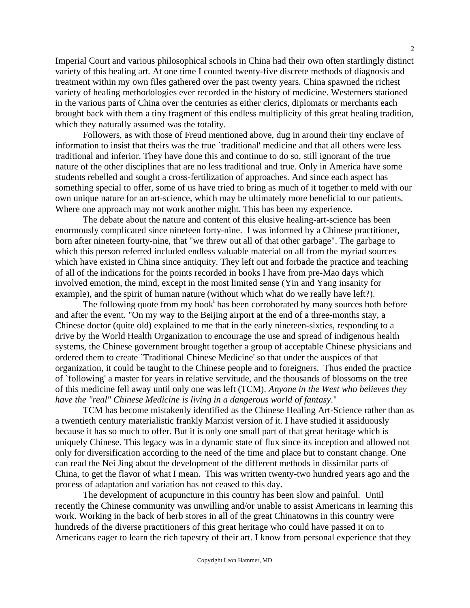Imperial Court and various philosophical schools in China had their own often startlingly distinct variety of this healing art. At one time I counted twenty-five discrete methods of diagnosis and treatment within my own files gathered over the past twenty years. China spawned the richest variety of healing methodologies ever recorded in the history of medicine. Westerners stationed in the various parts of China over the centuries as either clerics, diplomats or merchants each brought back with them a tiny fragment of this endless multiplicity of this great healing tradition, which they naturally assumed was the totality.

 Followers, as with those of Freud mentioned above, dug in around their tiny enclave of information to insist that theirs was the true `traditional' medicine and that all others were less traditional and inferior. They have done this and continue to do so, still ignorant of the true nature of the other disciplines that are no less traditional and true. Only in America have some students rebelled and sought a cross-fertilization of approaches. And since each aspect has something special to offer, some of us have tried to bring as much of it together to meld with our own unique nature for an art-science, which may be ultimately more beneficial to our patients. Where one approach may not work another might. This has been my experience.

 The debate about the nature and content of this elusive healing-art-science has been enormously complicated since nineteen forty-nine. I was informed by a Chinese practitioner, born after nineteen fourty-nine, that "we threw out all of that other garbage". The garbage to which this person referred included endless valuable material on all from the myriad sources which have existed in China since antiquity. They left out and forbade the practice and teaching of all of the indications for the points recorded in books I have from pre-Mao days which involved emotion, the mind, except in the most limited sense (Yin and Yang insanity for example), and the spirit of human nature (without which what do we really have left?).

The following quote from my book<sup> $\mathbf{i}$ </sup> has been corroborated by many sources both before and after the event. "On my way to the Beijing airport at the end of a three-months stay, a Chinese doctor (quite old) explained to me that in the early nineteen-sixties, responding to a drive by the World Health Organization to encourage the use and spread of indigenous health systems, the Chinese government brought together a group of acceptable Chinese physicians and ordered them to create `Traditional Chinese Medicine' so that under the auspices of that organization, it could be taught to the Chinese people and to foreigners. Thus ended the practice of `following' a master for years in relative servitude, and the thousands of blossoms on the tree of this medicine fell away until only one was left (TCM). *Anyone in the West who believes they have the "real" Chinese Medicine is living in a dangerous world of fantasy*."

 TCM has become mistakenly identified as the Chinese Healing Art-Science rather than as a twentieth century materialistic frankly Marxist version of it. I have studied it assiduously because it has so much to offer. But it is only one small part of that great heritage which is uniquely Chinese. This legacy was in a dynamic state of flux since its inception and allowed not only for diversification according to the need of the time and place but to constant change. One can read the Nei Jing about the development of the different methods in dissimilar parts of China, to get the flavor of what I mean. This was written twenty-two hundred years ago and the process of adaptation and variation has not ceased to this day.

 The development of acupuncture in this country has been slow and painful. Until recently the Chinese community was unwilling and/or unable to assist Americans in learning this work. Working in the back of herb stores in all of the great Chinatowns in this country were hundreds of the diverse practitioners of this great heritage who could have passed it on to Americans eager to learn the rich tapestry of their art. I know from personal experience that they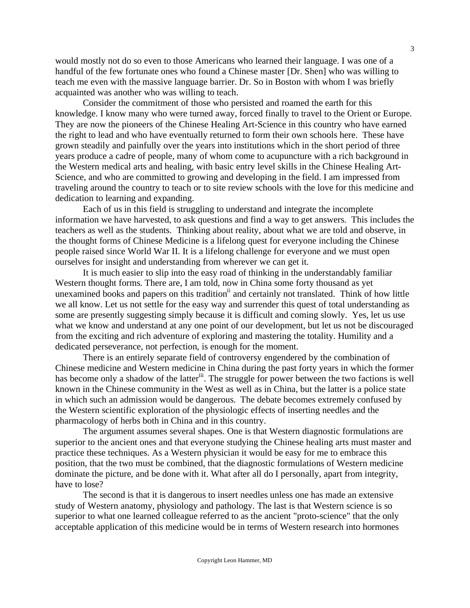would mostly not do so even to those Americans who learned their language. I was one of a handful of the few fortunate ones who found a Chinese master [Dr. Shen] who was willing to teach me even with the massive language barrier. Dr. So in Boston with whom I was briefly acquainted was another who was willing to teach.

 Consider the commitment of those who persisted and roamed the earth for this knowledge. I know many who were turned away, forced finally to travel to the Orient or Europe. They are now the pioneers of the Chinese Healing Art-Science in this country who have earned the right to lead and who have eventually returned to form their own schools here. These have grown steadily and painfully over the years into institutions which in the short period of three years produce a cadre of people, many of whom come to acupuncture with a rich background in the Western medical arts and healing, with basic entry level skills in the Chinese Healing Art-Science, and who are committed to growing and developing in the field. I am impressed from traveling around the country to teach or to site review schools with the love for this medicine and dedication to learning and expanding.

 Each of us in this field is struggling to understand and integrate the incomplete information we have harvested, to ask questions and find a way to get answers. This includes the teachers as well as the students. Thinking about reality, about what we are told and observe, in the thought forms of Chinese Medicine is a lifelong quest for everyone including the Chinese people raised since World War II. It is a lifelong challenge for everyone and we must open ourselves for insight and understanding from wherever we can get it.

 It is much easier to slip into the easy road of thinking in the understandably familiar Western thought forms. There are, I am told, now in China some forty thousand as yet unexamined books and papers on this tradition<sup>ii</sup> and certainly not translated. Think of how little we all know. Let us not settle for the easy way and surrender this quest of total understanding as some are presently suggesting simply because it is difficult and coming slowly. Yes, let us use what we know and understand at any one point of our development, but let us not be discouraged from the exciting and rich adventure of exploring and mastering the totality. Humility and a dedicated perseverance, not perfection, is enough for the moment.

 There is an entirely separate field of controversy engendered by the combination of Chinese medicine and Western medicine in China during the past forty years in which the former has become only a shadow of the latter<sup>iii</sup>. The struggle for power between the two factions is well known in the Chinese community in the West as well as in China, but the latter is a police state in which such an admission would be dangerous. The debate becomes extremely confused by the Western scientific exploration of the physiologic effects of inserting needles and the pharmacology of herbs both in China and in this country.

 The argument assumes several shapes. One is that Western diagnostic formulations are superior to the ancient ones and that everyone studying the Chinese healing arts must master and practice these techniques. As a Western physician it would be easy for me to embrace this position, that the two must be combined, that the diagnostic formulations of Western medicine dominate the picture, and be done with it. What after all do I personally, apart from integrity, have to lose?

 The second is that it is dangerous to insert needles unless one has made an extensive study of Western anatomy, physiology and pathology. The last is that Western science is so superior to what one learned colleague referred to as the ancient "proto-science" that the only acceptable application of this medicine would be in terms of Western research into hormones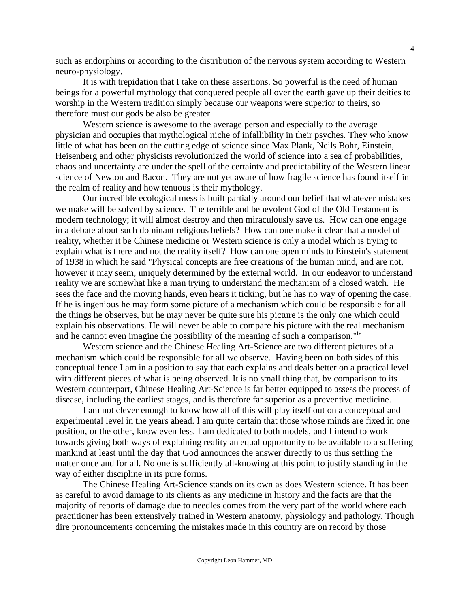such as endorphins or according to the distribution of the nervous system according to Western neuro-physiology.

 It is with trepidation that I take on these assertions. So powerful is the need of human beings for a powerful mythology that conquered people all over the earth gave up their deities to worship in the Western tradition simply because our weapons were superior to theirs, so therefore must our gods be also be greater.

 Western science is awesome to the average person and especially to the average physician and occupies that mythological niche of infallibility in their psyches. They who know little of what has been on the cutting edge of science since Max Plank, Neils Bohr, Einstein, Heisenberg and other physicists revolutionized the world of science into a sea of probabilities, chaos and uncertainty are under the spell of the certainty and predictability of the Western linear science of Newton and Bacon. They are not yet aware of how fragile science has found itself in the realm of reality and how tenuous is their mythology.

 Our incredible ecological mess is built partially around our belief that whatever mistakes we make will be solved by science. The terrible and benevolent God of the Old Testament is modern technology; it will almost destroy and then miraculously save us. How can one engage in a debate about such dominant religious beliefs? How can one make it clear that a model of reality, whether it be Chinese medicine or Western science is only a model which is trying to explain what is there and not the reality itself? How can one open minds to Einstein's statement of 1938 in which he said "Physical concepts are free creations of the human mind, and are not, however it may seem, uniquely determined by the external world. In our endeavor to understand reality we are somewhat like a man trying to understand the mechanism of a closed watch. He sees the face and the moving hands, even hears it ticking, but he has no way of opening the case. If he is ingenious he may form some picture of a mechanism which could be responsible for all the things he observes, but he may never be quite sure his picture is the only one which could explain his observations. He will never be able to compare his picture with the real mechanism and he cannot even imagine the possibility of the meaning of such a comparison."<sup>iv</sup>

 Western science and the Chinese Healing Art-Science are two different pictures of a mechanism which could be responsible for all we observe. Having been on both sides of this conceptual fence I am in a position to say that each explains and deals better on a practical level with different pieces of what is being observed. It is no small thing that, by comparison to its Western counterpart, Chinese Healing Art-Science is far better equipped to assess the process of disease, including the earliest stages, and is therefore far superior as a preventive medicine.

 I am not clever enough to know how all of this will play itself out on a conceptual and experimental level in the years ahead. I am quite certain that those whose minds are fixed in one position, or the other, know even less. I am dedicated to both models, and I intend to work towards giving both ways of explaining reality an equal opportunity to be available to a suffering mankind at least until the day that God announces the answer directly to us thus settling the matter once and for all. No one is sufficiently all-knowing at this point to justify standing in the way of either discipline in its pure forms.

 The Chinese Healing Art-Science stands on its own as does Western science. It has been as careful to avoid damage to its clients as any medicine in history and the facts are that the majority of reports of damage due to needles comes from the very part of the world where each practitioner has been extensively trained in Western anatomy, physiology and pathology. Though dire pronouncements concerning the mistakes made in this country are on record by those